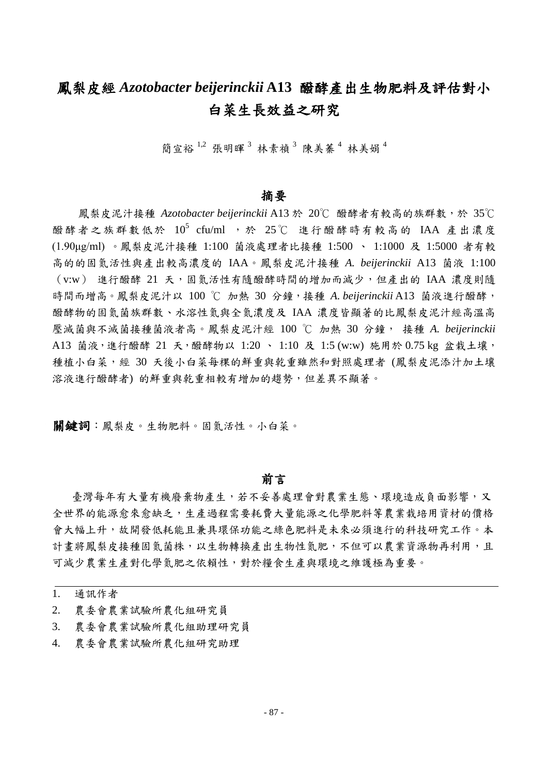## 鳳梨皮經 *Azotobacter beijerinckii* **A13** 醱酵產出生物肥料及評估對小 白菜生長效益之研究

簡宣裕  $^{1,2}$  張明暉  $^{3}$  林素禎  $^{3}$  陳美蓁  $^{4}$  林美娟  $^{4}$ 

#### 摘要

鳳梨皮泥汁接種 *Azotobacter beijerinckii* A13 於 20℃ 醱酵者有較高的族群數,於 35℃ 醱酵者之族群數低於 10<sup>5</sup> cfu/ml ,於 25℃ 進行醱酵時有較高的 IAA 產出濃度 (1.90μg/ml) 。鳳梨皮泥汁接種 1:100 菌液處理者比接種 1:500 、 1:1000 及 1:5000 者有較 高的的固氮活性與產出較高濃度的 IAA。鳳梨皮泥汁接種 *A. beijerinckii* A13 菌液 1:100 (v:w) 進行醱酵 21 天,固氮活性有隨醱酵時間的增加而減少,但產出的 IAA 濃度則隨 時間而增高。鳳梨皮泥汁以 100 ℃ 加熱 30 分鐘,接種 *A. beijerinckii* A13 菌液進行醱酵, 醱酵物的固氮菌族群數、水溶性氮與全氮濃度及 IAA 濃度皆顯著的比鳳梨皮泥汁經高溫高 壓滅菌與不滅菌接種菌液者高。鳳梨皮泥汁經 100 ℃ 加熱 30 分鐘, 接種 *A. beijerinckii*  A13 菌液,進行醱酵 21 天,醱酵物以 1:20 、 1:10 及 1:5 (w:w) 施用於 0.75 kg 盆栽土壤, 種植小白菜,經 30 天後小白菜每棵的鮮重與乾重雖然和對照處理者 (鳳梨皮泥添汁加土壤 溶液進行醱酵者) 的鮮重與乾重相較有增加的趨勢,但差異不顯著。

**關鍵詞:**鳳梨皮。生物肥料。固氮活性。小白菜。

#### 前言

臺灣每年有大量有機廢棄物產生,若不妥善處理會對農業生態、環境造成負面影響,又 全世界的能源愈來愈缺乏,生產過程需要耗費大量能源之化學肥料等農業栽培用資材的價格 會大幅上升,故開發低耗能且兼具環保功能之綠色肥料是未來必須進行的科技研究工作。本 計畫將鳳梨皮接種固氮菌株,以生物轉換產出生物性氮肥,不但可以農業資源物再利用,且 可減少農業生產對化學氮肥之依賴性,對於糧食生產與環境之維護極為重要。

1. 通訊作者

- 2. 農委會農業試驗所農化組研究員
- 3. 農委會農業試驗所農化組助理研究員
- 4. 農委會農業試驗所農化組研究助理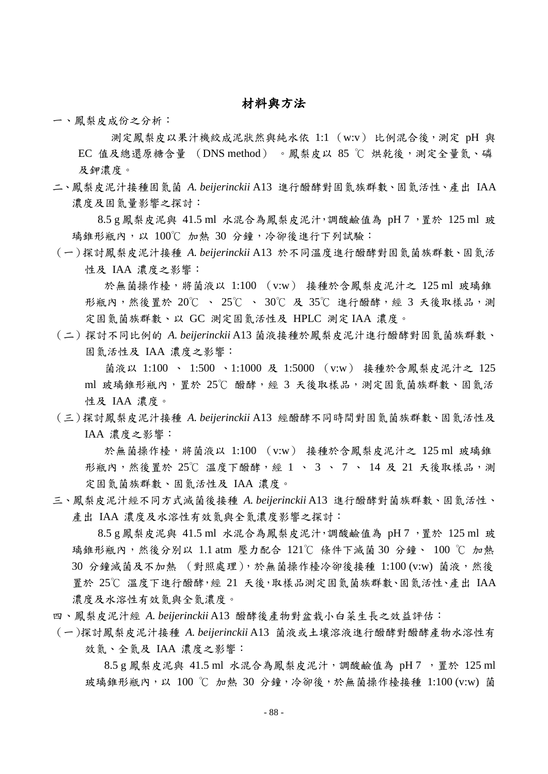#### 材料與方法

一、鳳梨皮成份之分析:

測定鳳梨皮以果汁機絞成泥狀然與純水依 1:1 (w:v) 比例混合後,測定 pH 與 EC 值及總還原糖含量 (DNS method) 。鳳梨皮以 85 ℃ 烘乾後,測定全量氮、磷 及鉀濃度。

二、鳳梨皮泥汁接種固氮菌 *A. beijerinckii* A13 進行醱酵對固氮族群數、固氮活性、產出 IAA 濃度及固氮量影響之探討:

8.5 g 鳳梨皮泥與 41.5 ml 水混合為鳳梨皮泥汁,調酸鹼值為 pH 7 ,置於 125 ml 玻 璃錐形瓶內,以 100℃ 加熱 30 分鐘,冷卻後進行下列試驗:

(一)探討鳳梨皮泥汁接種 *A. beijerinckii* A13 於不同溫度進行醱酵對固氮菌族群數、固氮活 性及 IAA 濃度之影響:

於無菌操作檯,將菌液以 1:100 (v:w) 接種於含鳳梨皮泥汁之 125 ml 玻璃錐 形瓶內,然後置於 20℃ 、 25℃ 、 30℃ 及 35℃ 進行醱酵, 經 3 天後取樣品,測 定固氮菌族群數、以 GC 測定固氮活性及 HPLC 測定 IAA 濃度。

(二)探討不同比例的 *A. beijerinckii* A13 菌液接種於鳳梨皮泥汁進行醱酵對固氮菌族群數、 固氮活性及 IAA 濃度之影響:

菌液以 1:100 、 1:500 、 1:1000 及 1:5000 (v:w) 接種於含鳳梨皮泥汁之 125 ml 玻璃錐形瓶內,置於 25℃ 醱酵,經 3 天後取樣品,測定固氮菌族群數、固氮活 性及 IAA 濃度。

(三)探討鳳梨皮泥汁接種 *A. beijerinckii* A13 經醱酵不同時間對固氮菌族群數、固氮活性及 IAA 濃度之影響:

於無菌操作檯,將菌液以 1:100 (v:w) 接種於含鳳梨皮泥汁之 125 ml 玻璃錐 形瓶內,然後置於 25℃ 溫度下醱酵,經 1、 3、 7、 14 及 21 天後取樣品,測 定固氮菌族群數、固氮活性及 IAA 濃度。

三、鳳梨皮泥汁經不同方式滅菌後接種 *A. beijerinckii* A13 進行醱酵對菌族群數、固氮活性、 產出 IAA 濃度及水溶性有效氮與全氮濃度影響之探討:

8.5 g 鳳梨皮泥與 41.5 ml 水混合為鳳梨皮泥汁,調酸鹼值為 pH 7 ,置於 125 ml 玻 璃錐形瓶內,然後分冸以 1.1 atm 壓力配合 121℃ 條件下滅菌 30 分鐘、 100 ℃ 加熱 30 分鐘滅菌及不加熱 (對照處理),於無菌操作檯冷卻後接種 1:100 (v:w) 菌液,然後 置於 25℃ 溫度下進行醱酵,經 21 天後,取樣品測定固氮菌族群數、固氮活性、產出 IAA 濃度及水溶性有效氮與全氮濃度。

- 四、鳳梨皮泥汁經 *A. beijerinckii* A13 醱酵後產物對盆栽小白菜生長之效益評估:
- (一)探討鳳梨皮泥汁接種 *A. beijerinckii* A13 菌液或土壤溶液進行醱酵對醱酵產物水溶性有 效氮、全氮及 IAA 濃度之影響:

 $8.5 g$  鳳梨皮泥與 41.5 ml 水混合為鳳梨皮泥汁,調酸鹼值為 pH 7, 置於 125 ml 玻璃维形瓶內,以 100 ℃ 加熱 30 分鐘,冷卻後,於無菌操作檯接種 1:100 (v:w) 菌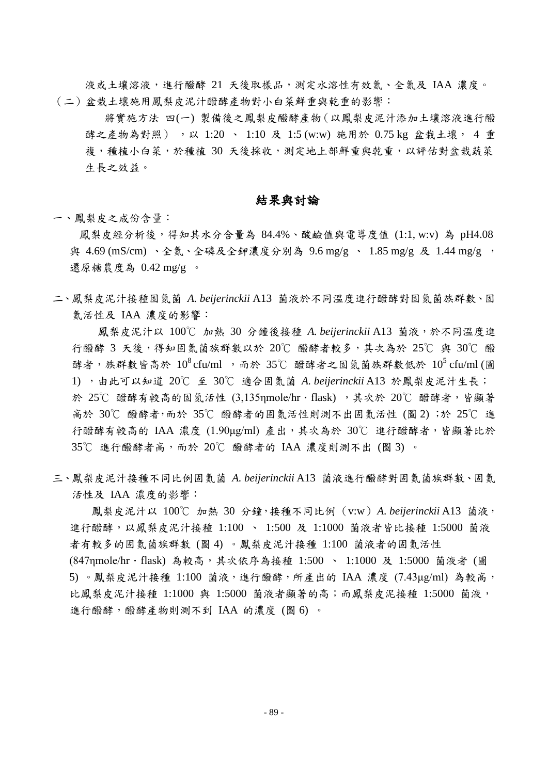液或土壤溶液,進行醱酵 21 天後取樣品,測定水溶性有效氮、全氮及 IAA 濃度。 (二)盆栽土壤施用鳳梨皮泥汁醱酵產物對小白菜鮮重與乾重的影響:

將實施方法 四(一) 製備後之鳳梨皮醱酵產物(以鳳梨皮泥汁添加土壤溶液進行醱 酵之產物為對照), 以 1:20 、 1:10 及 1:5 (w:w) 施用於 0.75 kg 盆栽土壤, 4 重 複,種植小白菜,於種植 30 天後採收,測定地上部鮮重與乾重,以評估對盆栽蔬菜 生長之效益。

#### 結果與討論

一、鳳梨皮之成份含量:

鳳梨皮經分析後,得知其水分含量為 84.4%、酸鹼值與電導度值 (1:1, w:v) 為 pH4.08 與 4.69 (mS/cm)、全氮、全磷及全鉀濃度分別為 9.6 mg/g 、 1.85 mg/g 及 1.44 mg/g , 還原糖農度為 0.42 mg/g 。

二、鳳梨皮泥汁接種固氮菌 *A. beijerinckii* A13 菌液於不同溫度進行醱酵對固氮菌族群數、固 氮活性及 IAA 濃度的影響:

鳳梨皮泥汁以 100℃ 加熱 30 分鐘後接種 *A. beijerinckii* A13 菌液,於不同溫度進 行醱酵 3 天後,得知固氮菌族群數以於 20℃ 醱酵者較多,其次為於 25℃ 與 30℃ 醱 酵者,族群數皆高於  $10^8$ cfu/ml ,而於 35℃ 醱酵者之固氮菌族群數低於  $10^5$ cfu/ml(圖 1) ,由此可以知道 20℃ 至 30℃ 適合固氮菌 *A. beijerinckii* A13 於鳳梨皮泥汁生長; 於 25℃ 醱酵有較高的固氮活性 (3,135nmole/hr · flask) , 其次於 20℃ 醱酵者, 皆顯著 高於 30℃ 醱酵者,而於 35℃ 醱酵者的固氮活性則測不出固氮活性 (圖 2) ;於 25℃ 進 行醱酵有較高的 IAA 濃度 (1.90μg/ml) 產出,其次為於 30℃ 進行醱酵者,皆顯著比於 35℃ 進行醱酵者高,而於 20℃ 醱酵者的 IAA 濃度則測不出 (圖 3) 。

三、鳳梨皮泥汁接種不同比例固氮菌 *A. beijerinckii* A13 菌液進行醱酵對固氮菌族群數、固氮 活性及 IAA 濃度的影響:

鳳梨皮泥汁以 100℃ 加熱 30 分鐘,接種不同比例(v:w)*A. beijerinckii* A13 菌液, 進行醱酵,以鳳梨皮泥汁接種 1:100 、 1:500 及 1:1000 菌液者皆比接種 1:5000 菌液 者有較多的固氮菌族群數 (圖 4) 。鳳梨皮泥汁接種 1:100 菌液者的固氮活性 (847ηmole/hr · flask) 為較高, 其次依序為接種 1:500 、 1:1000 及 1:5000 菌液者 (圖 5) 。鳳梨皮泥汁接種 1:100 菌液,進行醱酵,所產出的 IAA 濃度 (7.43μg/ml) 為較高, 比鳳梨皮泥汁接種 1:1000 與 1:5000 菌液者顯著的高;而鳳梨皮泥接種 1:5000 菌液, 進行醱酵,醱酵產物則測不到 IAA 的濃度 (圖 6) 。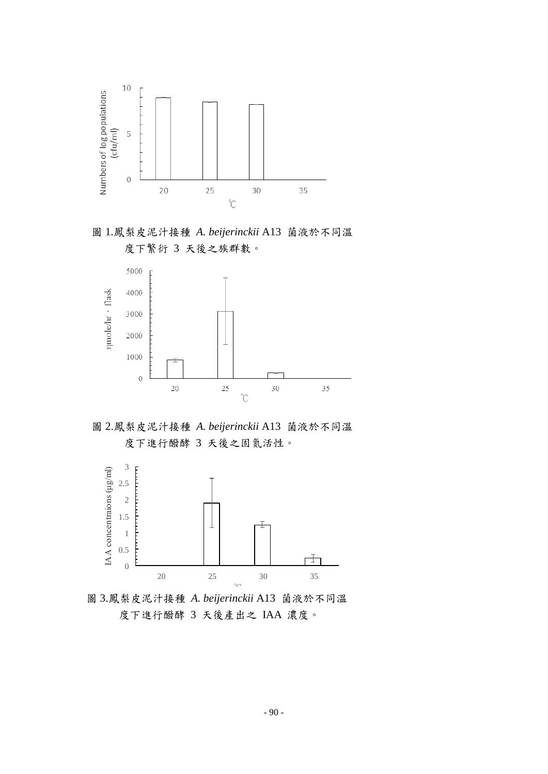

圖 1.鳳梨皮泥汁接種 *A. beijerinckii* A13 菌液於不同溫 度下繁衍 3 天後之族群數。



圖 2.鳳梨皮泥汁接種 *A. beijerinckii* A13 菌液於不同溫 度下進行醱酵 3 天後之固氮活性。



圖 3.鳳梨皮泥汁接種 *A. beijerinckii* A13 菌液於不同溫 度下進行醱酵 3 天後產出之 IAA 濃度。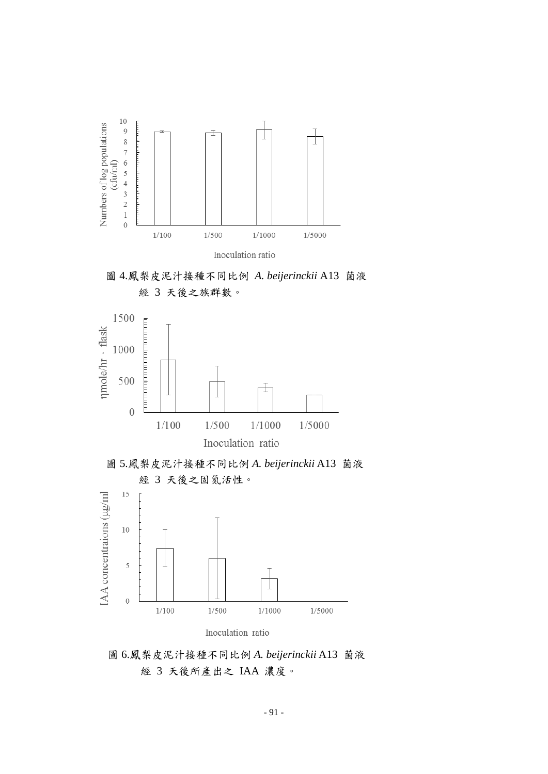









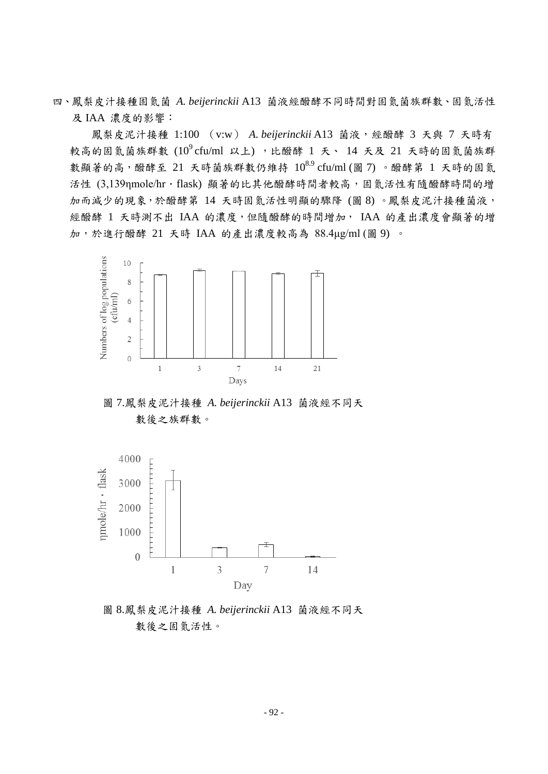四、鳳梨皮汁接種固氮菌 *A. beijerinckii* A13 菌液經醱酵不同時間對固氮菌族群數、固氮活性 及 IAA 濃度的影響:

鳳梨皮泥汁接種 1:100 (v:w) *A. beijerinckii* A13 菌液,經醱酵 3 天與 7 天時有 較高的固氮菌族群數  $(10^{9}$ cfu/ml 以上),比醱酵 1 天、 14 天及 21 天時的固氮菌族群 數顯著的高,醱酵至 21 天時菌族群數仍維持  $10^{8.9}$  cfu/ml (圖 7) 。醱酵第 1 天時的固氮 活性 (3,139nmole/hr·flask) 顯著的比其他醱酵時間者較高,固氮活性有隨醱酵時間的增 加而減少的現象,於醱酵第 14 天時固氮活性明顯的驟降 (圖 8) 。鳳梨皮泥汁接種菌液, 經醱酵 1 天時測不出 IAA 的濃度,但隨醱酵的時間增加, IAA 的產出濃度會顯著的增 加,於進行醱酵 21 天時 IAA 的產出濃度較高為 88.4μg/ml (圖 9) 。



圖 7.鳳梨皮泥汁接種 *A. beijerinckii* A13 菌液經不同天 數後之族群數。



圖 8.鳳梨皮泥汁接種 *A. beijerinckii* A13 菌液經不同天 數後之固氮活性。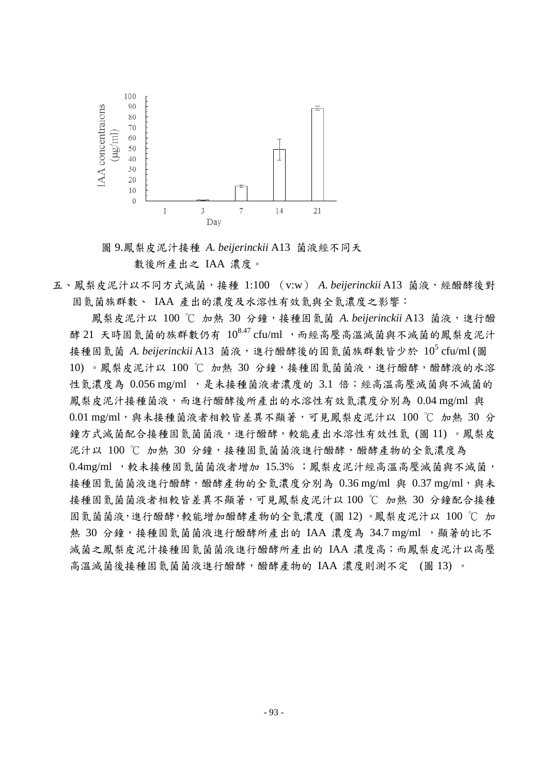

圖 9.鳳梨皮泥汁接種 *A. beijerinckii* A13 菌液經不同天 數後所產出之 IAA 濃度。

五、鳳梨皮泥汁以不同方式滅菌,接種 1:100 (v:w) *A. beijerinckii* A13 菌液,經醱酵後對 固氮菌族群數、 IAA 產出的濃度及水溶性有效氮與全氮濃度之影響:

鳳梨皮泥汁以 100 ℃ 加熱 30 分鐘,接種固氮菌 A. beijerinckii A13 菌液,進行醱 酵 21 天時固氮菌的族群數仍有 108.47 cfu/ml ,而經高壓高溫滅菌與不滅菌的鳳梨皮泥汁 接種固氮菌 A. beijerinckii A13 菌液,進行醱酵後的固氮菌族群數皆少於 10<sup>5</sup> cfu/ml (圖 10) 。鳳梨皮泥汁以 100 ℃ 加熱 30 分鐘,接種固氮菌菌液,進行醱酵,醱酵液的水溶 性氮濃度為 0.056 mg/ml ,是未接種菌液者濃度的 3.1 倍;經高溫高壓滅菌與不滅菌的 鳳梨皮泥汁接種菌液,而進行醱酵後所產出的水溶性有效氮濃度分別為 0.04 mg/ml 與 0.01 mg/ml,與未接種菌液者相較皆差異不顯著,可見鳳梨皮泥汁以 100 ℃ 加熱 30 分 鐘方式滅菌配合接種固氮菌菌液,進行醱酵,較能產出水溶性有效性氮 (圖 11) 。鳳梨皮 泥汁以 100 ℃ 加熱 30 分鐘,接種固氮菌菌液進行醱酵,醱酵產物的全氮濃度為 0.4mg/ml ,較未接種固氮菌菌液者增加 15.3% ;鳳梨皮泥汁經高溫高壓滅菌與不滅菌, 接種固氮菌菌液進行醱酵,醱酵產物的全氮濃度分別為 0.36 mg/ml 與 0.37 mg/ml,與未 接種固氮菌菌液者相較皆差異不顯著,可見鳳梨皮泥汁以 100 ℃ 加熱 30 分鐘配合接種 固氮菌菌液,進行醱酵,較能增加醱酵產物的全氮濃度 (圖 12) 。鳳梨皮泥汁以 100 ℃ 加 熱 30 分鐘,接種固氮菌菌液進行醱酵所產出的 IAA 濃度為 34.7 mg/ml ,顯著的比不 滅菌之鳳梨皮泥汁接種固氮菌菌液進行醱酵所產出的 IAA 濃度高;而鳳梨皮泥汁以高壓 高溫滅菌後接種固氮菌菌液進行醱酵,醱酵產物的 IAA 濃度則測不定 (圖 13)。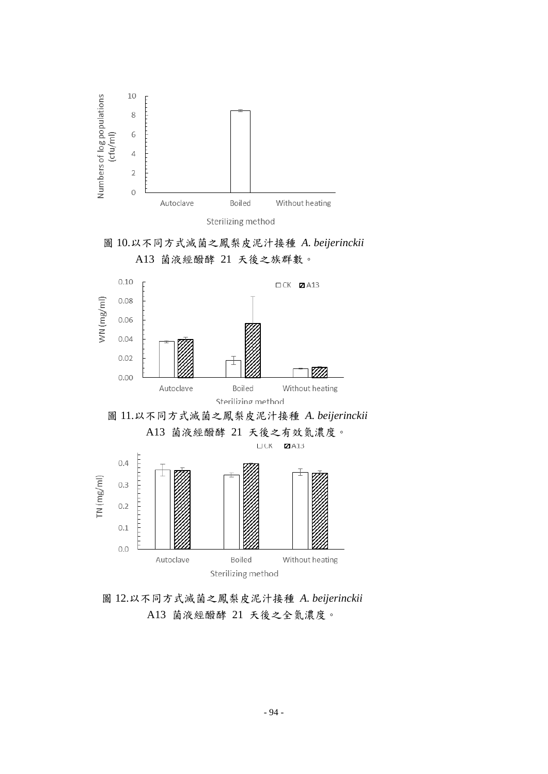









圖 12.以不同方式滅菌之鳳梨皮泥汁接種 *A. beijerinckii* A13 菌液經醱酵 21 天後之全氮濃度。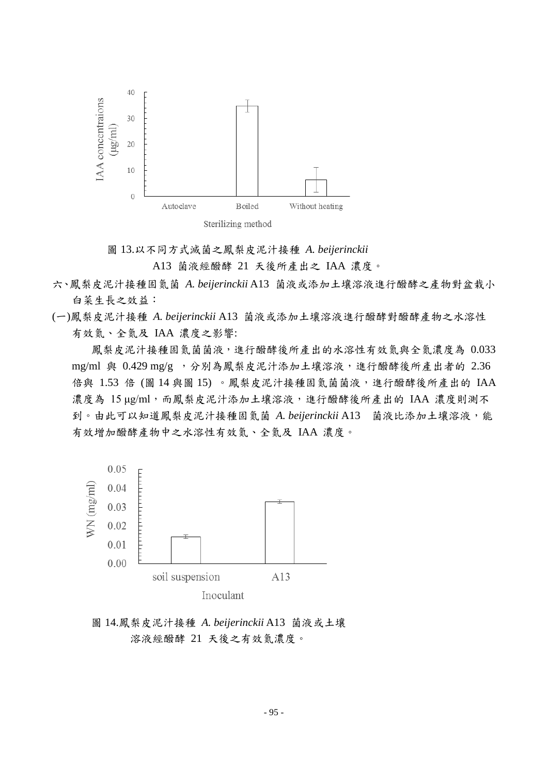



A13 菌液經醱酵 21 天後所產出之 IAA 濃度。

- 六、鳳梨皮泥汁接種固氮菌 *A. beijerinckii* A13 菌液或添加土壤溶液進行醱酵之產物對盆栽小 白菜生長之效益:
- (一)鳳梨皮泥汁接種 *A. beijerinckii* A13 菌液或添加土壤溶液進行醱酵對醱酵產物之水溶性 有效氮、全氮及 IAA 濃度之影響:

鳳梨皮泥汁接種固氮菌菌液,進行醱酵後所產出的水溶性有效氮與全氮濃度為 0.033 mg/ml 與 0.429 mg/g , 分別為鳳梨皮泥汁添加土壤溶液,進行醱酵後所產出者的 2.36 倍與 1.53 倍 (圖 14 與圖 15)。鳳梨皮泥汁接種固氮菌菌液,進行醱酵後所產出的 IAA 濃度為 15 μg/ml,而鳳梨皮泥汁添加土壤溶液,進行醱酵後所產出的 IAA 濃度則測不 到。由此可以知道鳳梨皮泥汁接種固氮菌 A. beijerinckii A13 菌液比添加土壤溶液,能 有效增加醱酵產物中之水溶性有效氮、全氮及 IAA 濃度。



圖 14.鳳梨皮泥汁接種 *A. beijerinckii* A13 菌液或土壤 溶液經醱酵 21 天後之有效氮濃度。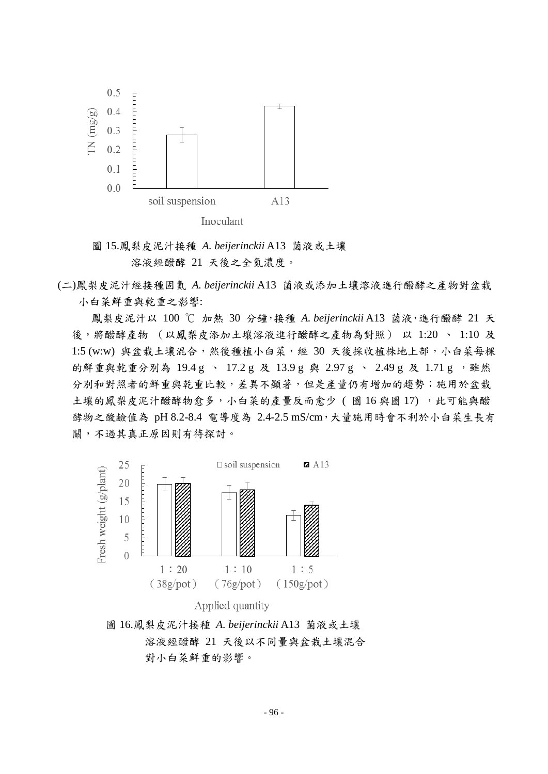

圖 15.鳳梨皮泥汁接種 *A. beijerinckii* A13 菌液或土壤 溶液經醱酵 21 天後之全氮濃度。

(二)鳳梨皮泥汁經接種固氮 *A. beijerinckii* A13 菌液或添加土壤溶液進行醱酵之產物對盆栽 小白菜鮮重與乾重之影響:

鳳梨皮泥汁以 100 ℃ 加熱 30 分鐘,接種 *A. beijerinckii* A13 菌液,進行醱酵 21 天 後,將醱酵產物 (以鳳梨皮添加土壤溶液進行醱酵之產物為對照) 以 1:20 、 1:10 及 1:5 (w:w) 與盆栽土壤混合,然後種植小白菜,經 30 天後採收植株地上部,小白菜每棵 的鮮重與乾重分別為 19.4 g 、 17.2 g 及 13.9 g 與 2.97 g 、 2.49 g 及 1.71 g ,雖然 分別和對照者的鮮重與乾重比較,差異不顯著,但是產量仍有增加的趨勢;施用於盆栽 土壤的鳳梨皮泥汁醱酵物愈多,小白菜的產量反而愈少(圖16與圖17),此可能與醱 酵物之酸鹼值為 pH 8.2-8.4 電導度為 2.4-2.5 mS/cm, 大量施用時會不利於小白菜生長有 關,不過其真正原因則有待探討。





圖 16.鳳梨皮泥汁接種 *A. beijerinckii* A13 菌液或土壤 溶液經醱酵 21 天後以不同量與盆栽土壤混合 對小白菜鮮重的影響。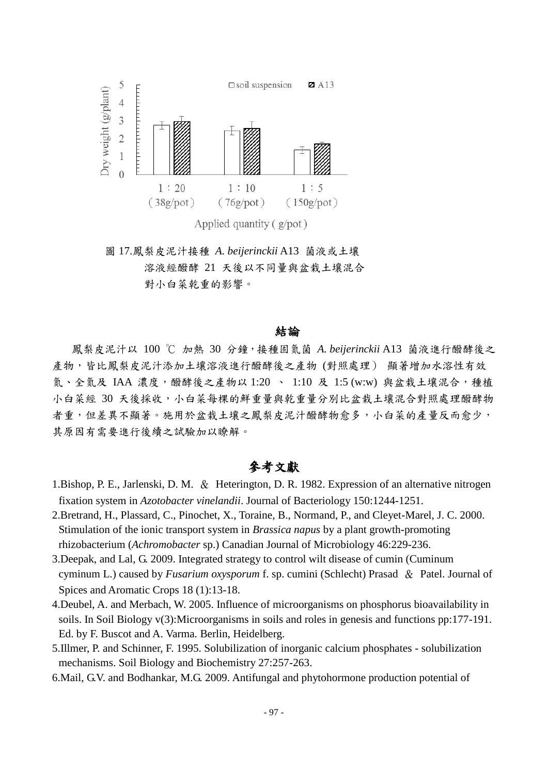

Applied quantity  $(g<sub>/</sub>pot)$ 

圖 17.鳳梨皮泥汁接種 *A. beijerinckii* A13 菌液或土壤 溶液經醱酵 21 天後以不同量與盆栽土壤混合 對小白菜乾重的影響。

#### 結論

鳳梨皮泥汁以 100 ℃ 加熱 30 分鐘,接種固氮菌 *A. beijerinckii* A13 菌液進行醱酵後之 產物,皆比鳳梨皮泥汁添加土壤溶液進行醱酵後之產物(對照處理) 顯著增加水溶性有效 氮、全氮及 IAA 濃度,醱酵後之產物以 1:20 、 1:10 及 1:5 (w:w) 與盆栽土壤混合,種植 小白菜經 30 天後採收,小白菜每棵的鮮重量與乾重量分別比盆栽土壤混合對照處理醱酵物 者重,但差異不顯著。施用於盆栽土壤之鳳梨皮泥汁醱酵物愈多,小白菜的產量反而愈少, 其原因有需要進行後續之試驗加以瞭解。

## 參考文獻

- 1.Bishop, P. E., Jarlenski, D. M. & Heterington, D. R. 1982. Expression of an alternative nitrogen fixation system in *Azotobacter vinelandii*. Journal of Bacteriology 150:1244-1251.
- 2.Bretrand, H., Plassard, C., Pinochet, X., Toraine, B., Normand, P., and Cleyet-Marel, J. C. 2000. Stimulation of the ionic transport system in *Brassica napus* by a plant growth-promoting rhizobacterium (*Achromobacter* sp.) Canadian Journal of Microbiology 46:229-236.
- 3.Deepak, and Lal, G. 2009. Integrated strategy to control wilt disease of cumin (Cuminum cyminum L.) caused by *Fusarium oxysporum* f. sp. cumini (Schlecht) Prasad & Patel. Journal of Spices and Aromatic Crops 18 (1):13-18.
- 4.Deubel, A. and Merbach, W. 2005. Influence of microorganisms on phosphorus bioavailability in soils. In Soil Biology v(3):Microorganisms in soils and roles in genesis and functions pp:177-191. Ed. by F. Buscot and A. Varma. Berlin, Heidelberg.
- 5.Illmer, P. and Schinner, F. 1995. Solubilization of inorganic calcium phosphates solubilization mechanisms. Soil Biology and Biochemistry 27:257-263.
- 6.Mail, G.V. and Bodhankar, M.G. 2009. Antifungal and phytohormone production potential of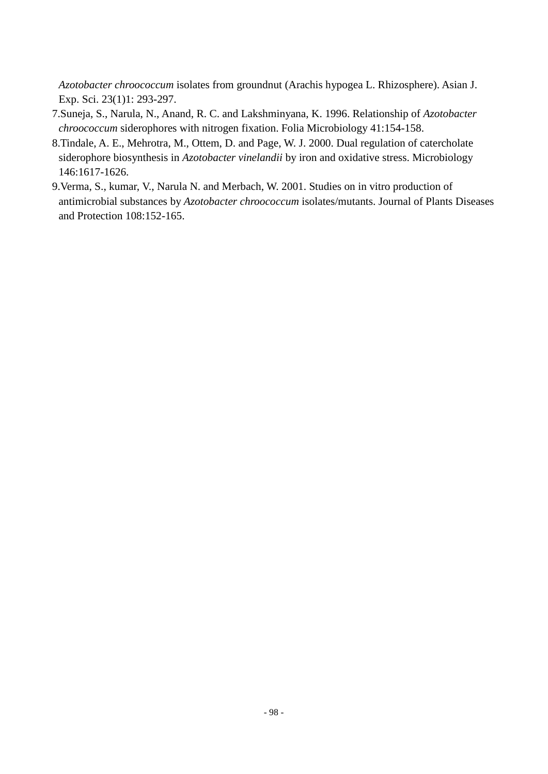*Azotobacter chroococcum* isolates from groundnut (Arachis hypogea L. Rhizosphere). Asian J. Exp. Sci. 23(1)1: 293-297.

- 7.Suneja, S., Narula, N., Anand, R. C. and Lakshminyana, K. 1996. Relationship of *Azotobacter chroococcum* siderophores with nitrogen fixation. Folia Microbiology 41:154-158.
- 8.Tindale, A. E., Mehrotra, M., Ottem, D. and Page, W. J. 2000. Dual regulation of catercholate siderophore biosynthesis in *Azotobacter vinelandii* by iron and oxidative stress. Microbiology 146:1617-1626.
- 9.Verma, S., kumar, V., Narula N. and Merbach, W. 2001. Studies on in vitro production of antimicrobial substances by *Azotobacter chroococcum* isolates/mutants. Journal of Plants Diseases and Protection 108:152-165.